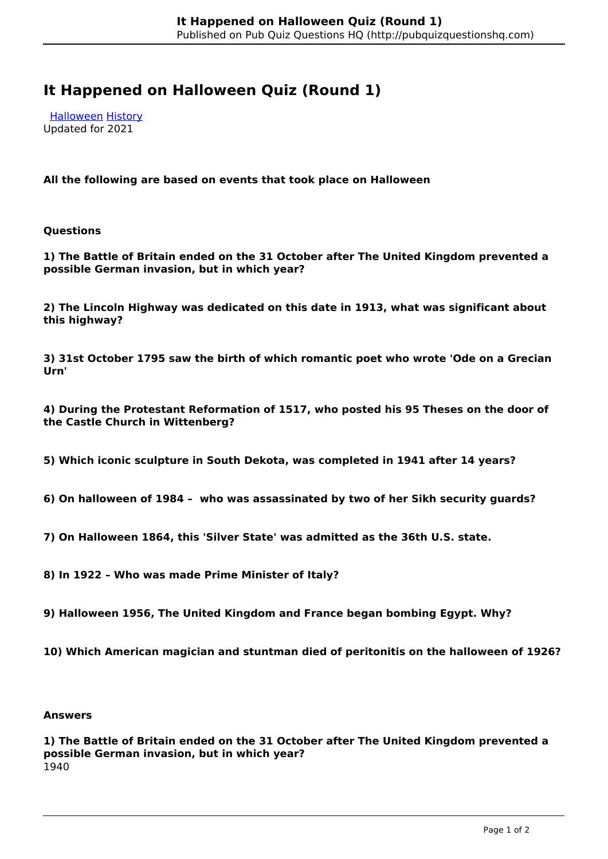## **It Happened on Halloween Quiz (Round 1)**

 [Halloween](http://pubquizquestionshq.com/categories/halloween) [History](http://pubquizquestionshq.com/categories/history) Updated for 2021

**All the following are based on events that took place on Halloween**

**Questions**

**1) The Battle of Britain ended on the 31 October after The United Kingdom prevented a possible German invasion, but in which year?**

**2) The Lincoln Highway was dedicated on this date in 1913, what was significant about this highway?**

**3) 31st October 1795 saw the birth of which romantic poet who wrote 'Ode on a Grecian Urn'** 

**4) During the Protestant Reformation of 1517, who posted his 95 Theses on the door of the Castle Church in Wittenberg?**

**5) Which iconic sculpture in South Dekota, was completed in 1941 after 14 years?**

**6) On halloween of 1984 – who was assassinated by two of her Sikh security guards?**

**7) On Halloween 1864, this 'Silver State' was admitted as the 36th U.S. state.**

**8) In 1922 – Who was made Prime Minister of Italy?**

**9) Halloween 1956, The United Kingdom and France began bombing Egypt. Why?**

**10) Which American magician and stuntman died of peritonitis on the halloween of 1926?**

## **Answers**

**1) The Battle of Britain ended on the 31 October after The United Kingdom prevented a possible German invasion, but in which year?** 1940